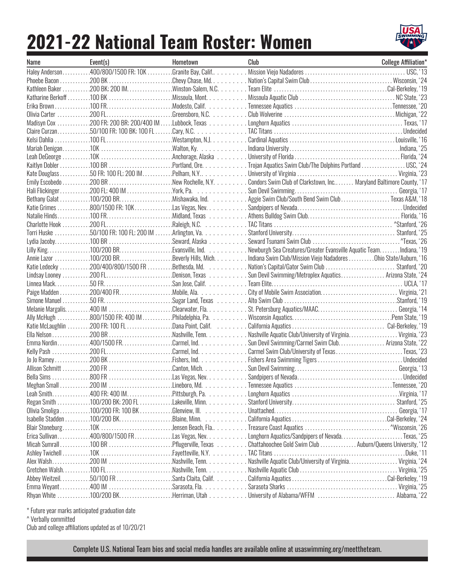## **2021-22 National Team Roster: Women**



| Name | Event(s) | Hometown | Club                                                                                                          | <b>College Affiliation*</b> |
|------|----------|----------|---------------------------------------------------------------------------------------------------------------|-----------------------------|
|      |          |          |                                                                                                               |                             |
|      |          |          |                                                                                                               |                             |
|      |          |          |                                                                                                               |                             |
|      |          |          |                                                                                                               |                             |
|      |          |          |                                                                                                               |                             |
|      |          |          |                                                                                                               |                             |
|      |          |          |                                                                                                               |                             |
|      |          |          |                                                                                                               |                             |
|      |          |          |                                                                                                               |                             |
|      |          |          |                                                                                                               |                             |
|      |          |          |                                                                                                               |                             |
|      |          |          | Kaitlyn Dobler 100 BR Portland, Ore. Trojan Aquatics Swim Club/The Dolphins Portland USC, '24                 |                             |
|      |          |          |                                                                                                               |                             |
|      |          |          | Emily Escobedo 200 BR New Rochelle, N.Y.  Condors Swim Club of Clarkstown, Inc Maryland Baltimore County, '17 |                             |
|      |          |          |                                                                                                               |                             |
|      |          |          | Bethany Galat 100/200 BRMishawaka, Ind.  Texas A&M, '18                                                       |                             |
|      |          |          |                                                                                                               |                             |
|      |          |          |                                                                                                               |                             |
|      |          |          |                                                                                                               |                             |
|      |          |          |                                                                                                               |                             |
|      |          |          |                                                                                                               |                             |
|      |          |          | Lilly King100/200 BREvansville, Ind. Newburgh Sea Creatures/Greater Evansville Aquatic TeamIndiana, '19       |                             |
|      |          |          | Annie Lazor 100/200 BRBeverly Hills, MichIndiana Swim Club/Mission Viejo NadadoresOhio State/Auburn, '16      |                             |
|      |          |          | Katie Ledecky 200/400/800/1500 FR Bethesda, Md. Nation's Capital/Gator Swim Club  Stanford, '20               |                             |
|      |          |          | Lindsay Looney 200 FLDenison, Texas Sun Devil Swimming/Metroplex Aquatics Arizona State, '24                  |                             |
|      |          |          |                                                                                                               |                             |
|      |          |          |                                                                                                               |                             |
|      |          |          |                                                                                                               |                             |
|      |          |          |                                                                                                               |                             |
|      |          |          |                                                                                                               |                             |
|      |          |          |                                                                                                               |                             |
|      |          |          |                                                                                                               |                             |
|      |          |          | Emma Nordin400/1500 FRCarmel, IndSun Devil Swimming/Carmel Swim Club Arizona State, '22                       |                             |
|      |          |          |                                                                                                               |                             |
|      |          |          | Kelly Pash 200 FLCarmel, Ind. Carmel Swim Club/University of TexasTexas, '23                                  |                             |
|      |          |          |                                                                                                               |                             |
|      |          |          |                                                                                                               |                             |
|      |          |          |                                                                                                               |                             |
|      |          |          |                                                                                                               |                             |
|      |          |          |                                                                                                               |                             |
|      |          |          |                                                                                                               |                             |
|      |          |          |                                                                                                               |                             |
|      |          |          |                                                                                                               |                             |
|      |          |          |                                                                                                               |                             |
|      |          |          | Erica Sullivan400/800/1500 FRLas Vegas, NevLonghorn Aquatics/Sandpipers of NevadaTexas, '25                   |                             |
|      |          |          | Micah Sumrall 100 BR Pflugerville, Texas Chattahoochee Gold Swim Club  Auburn/Queens University, '12          |                             |
|      |          |          |                                                                                                               |                             |
|      |          |          |                                                                                                               |                             |
|      |          |          |                                                                                                               |                             |
|      |          |          | Abbey Weitzeil50/100 FR Santa Claita, Calif. California AquaticsCal-Berkeley, '19                             |                             |
|      |          |          |                                                                                                               |                             |
|      |          |          | Rhyan White 100/200 BKHerriman, Utah University of Alabama/WFFM  Alabama, '22                                 |                             |

\* Future year marks anticipated graduation date

^ Verbally committed

Club and college affiliations updated as of 10/20/21

Complete U.S. National Team bios and social media handles are available online at usaswimming.org/meettheteam.